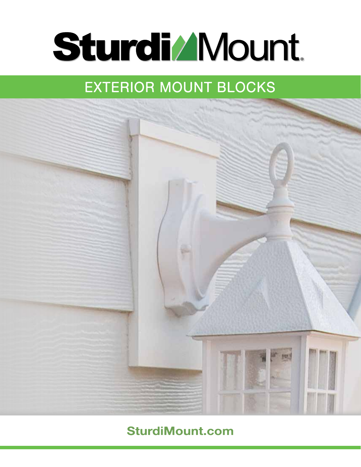# **Sturdi/Mount**

## **EXTERIOR MOUNT BLOCKS**



#### **SturdiMount.com**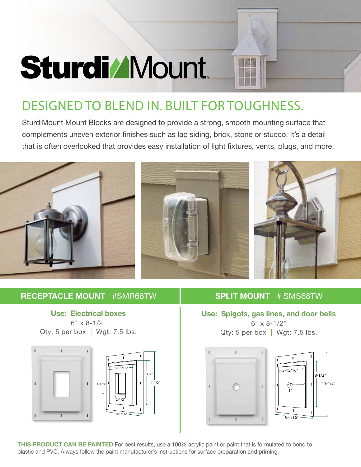## **Sturdi/Mount**

### DESIGNED TO BLEND IN. BUILT FOR TOUGHNESS.

SturdiMount Mount Blocks are designed to provide a strong, smooth mounting surface that complements uneven exterior finishes such as lap siding, brick, stone or stucco. It's a detail that is often overlooked that provides easy installation of light fixtures, vents, plugs, and more.



#### **RECEPTACLE MOUNT** #SMR68TW

**Use: Electrical boxes** 6" x 8-1/2" Qty: 5 per box  $|$  Wgt: 7.5 lbs.



#### **SPLIT MOUNT** # SMS68TW

**Use: Spigots, gas lines, and door bells**  $6'' \times 8 - 1/2''$ Qty: 5 per box  $|$  Wgt: 7.5 lbs.





**THIS PRODUCT CAN BE PAINTED** For best results, use a 100% acrylic paint or paint that is formulated to bond to plastic and PVC. Always follow the paint manufacturer's instructions for surface preparation and priming.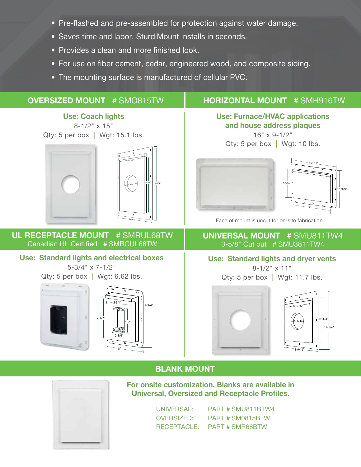- Pre-flashed and pre-assembled for protection against water damage.
- Saves time and labor, SturdiMount installs in seconds.
- Provides a clean and more finished look.
- For use on fiber cement, cedar, engineered wood, and composite siding.
- The mounting surface is manufactured of cellular PVC.

#### **OVERSIZED MOUNT** # SMO815TW

#### **HORIZONTAL MOUNT** # SMH916TW

**Use: Coach lights** 8-1/2" x 15" Qty: 5 per box | Wgt: 15.1 lbs.





**UL RECEPTACLE MOUNT** # SMRUL68TW Canadian UL Certified # SMRCUL68TW

#### **Use: Standard lights and electrical boxes**

5-3/4" x 7-1/2"

Qty: 5 per box  $|$  Wgt: 6.62 lbs.





#### **Use: Furnace/HVAC applications and house address plaques** 16" x 9-1/2"

Qty: 5 per box | Wgt: 10 lbs.





Face of mount is uncut for on-site fabrication.

#### **UNIVERSAL MOUNT** # SMU811TW4 3-5/8" Cut out # SMU3811TW4

#### **Use: Standard lights and dryer vents**

 $8 - 1/2$ " x 11" Qty: 5 per box | Wgt: 11.7 lbs.





#### **BLANK MOUNT**



**For onsite customization. Blanks are available in Universal, Oversized and Receptacle Profiles.**

> UNIVERSAL: PART # SMU811BTW4 OVERSIZED: PART # SM0815BTW RECEPTACLE: PART # SMR68BTW